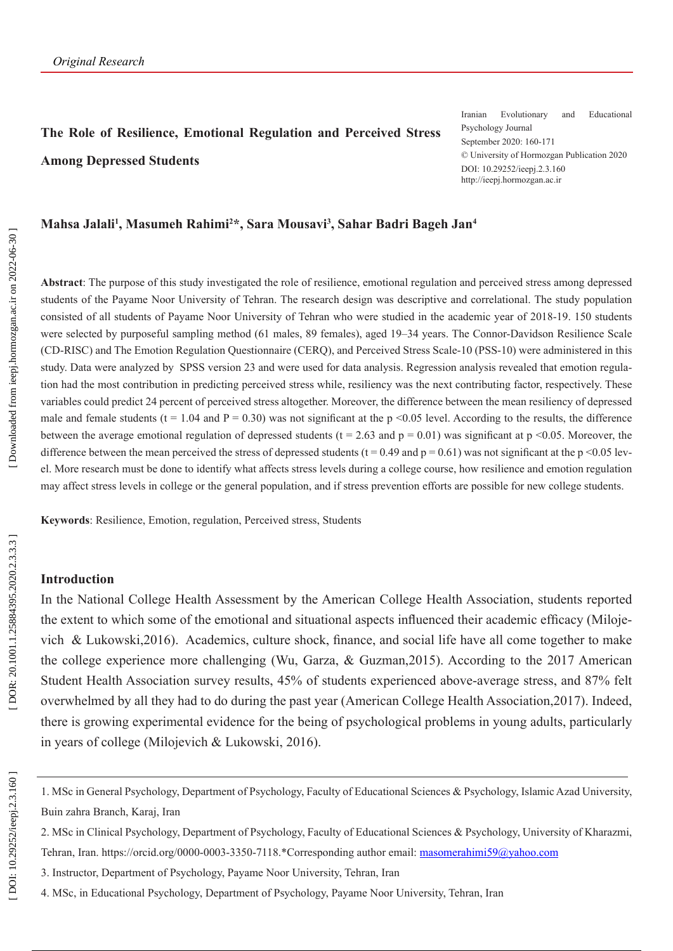# **The Role of Resilience, Emotional Regulation and Perceived Stress Among Depressed Students**

Iranian Evolutionary and Educational Psychology Journal September 2020: 160-171 © University of Hormozgan Publication 2020 DOI: 10.29252/ieepj.2.3.160 http://ieepj.hormozgan.ac.ir

#### **Mahsa Jalali 1 , Masumeh Rahimi 2 \*, Sara Mousavi 3 , Sahar Badri Bageh Jan 4**

**Abstract**: The purpose of this study investigated the role of resilience, emotional regulation and perceived stress among depressed students of the Payame Noor University of Tehran. The research design was descriptive and correlational. The study population consisted of all students of Payame Noor University of Tehran who were studied in the academic year of 2018-19. 150 students were selected by purposeful sampling method (61 males, 89 females), aged 19–34 years. The Connor-Davidson Resilience Scale (CD-RISC) and The Emotion Regulation Questionnaire (CERQ), and Perceived Stress Scale-10 (PSS-10) were administered in this study. Data were analyzed by SPSS version 23 and were used for data analysis. Regression analysis revealed that emotion regula tion had the most contribution in predicting perceived stress while, resiliency was the next contributing factor, respectively. These variables could predict 24 percent of perceived stress altogether. Moreover, the difference between the mean resiliency of depressed male and female students (t = 1.04 and P = 0.30) was not significant at the p <0.05 level. According to the results, the difference between the average emotional regulation of depressed students ( $t = 2.63$  and  $p = 0.01$ ) was significant at  $p \le 0.05$ . Moreover, the difference between the mean perceived the stress of depressed students ( $t = 0.49$  and  $p = 0.61$ ) was not significant at the p <0.05 level. More research must be done to identify what affects stress levels during a college course, how resilience and emotion regulation may affect stress levels in college or the general population, and if stress prevention efforts are possible for new college students.

**Keywords**: Resilience, Emotion, regulation, Perceived stress, Students

#### **Introduction**

In the National College Health Assessment by the American College Health Association, students reported the extent to which some of the emotional and situational aspects influenced their academic efficacy (Miloje vich & Lukowski,2016). Academics, culture shock, finance, and social life have all come together to make the college experience more challenging (Wu, Garza, & Guzman,2015). According to the 2017 American Student Health Association survey results, 45% of students experienced above-average stress, and 87% felt overwhelmed by all they had to do during the past year (American College Health Association,2017). Indeed, there is growing experimental evidence for the being of psychological problems in young adults, particularly in years of college (Milojevich & Lukowski, 2016).

4. MSc, in Educational Psychology, Department of Psychology, Payame Noor University, Tehran, Iran

<sup>1.</sup> MSc in General Psychology, Department of Psychology, Faculty of Educational Sciences & Psychology, Islamic Azad University, Buin zahra Branch, Karaj, Iran

<sup>2.</sup> MSc in Clinical Psychology, Department of Psychology, Faculty of Educational Sciences & Psychology, University of Kharazmi, Tehran, Iran. <https://orcid.org/0000-0003-3350-7118>.\*Corresponding author email: [masomerahimi59@yahoo.com](mailto:masomerahimi59@yahoo.com)

<sup>3.</sup> Instructor, Department of Psychology, Payame Noor University, Tehran, Iran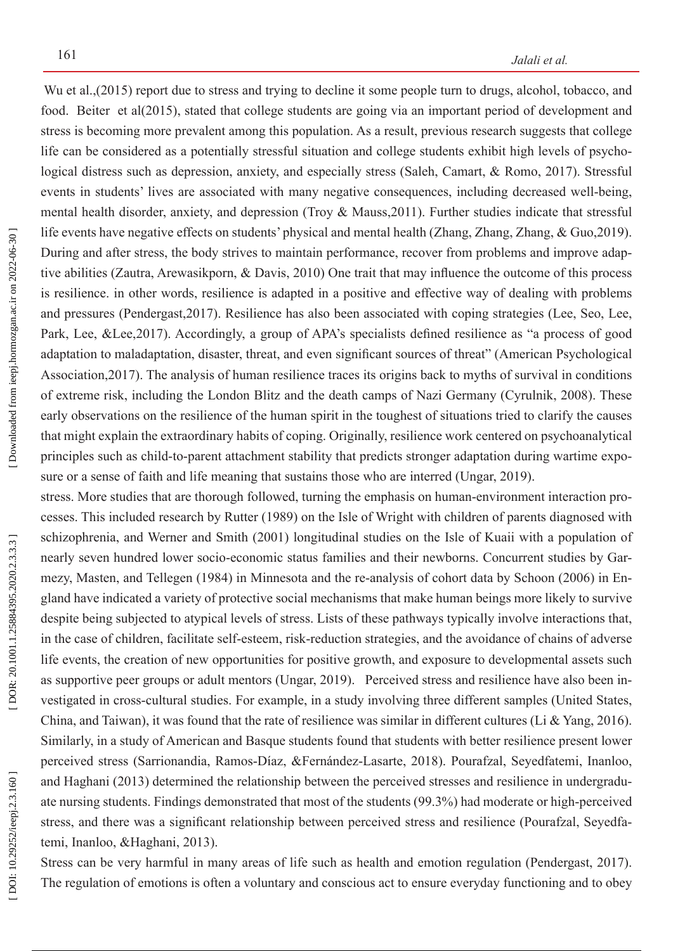Wu et al.,(2015) report due to stress and trying to decline it some people turn to drugs, alcohol, tobacco, and food. [Beiter](https://www.ncbi.nlm.nih.gov/pubmed/?term=Beiter R%5BAuthor%5D&cauthor=true&cauthor_uid=25462401) et al(2015), stated that college students are going via an important period of development and stress is becoming more prevalent among this population. As a result, previous research suggests that college life can be considered as a potentially stressful situation and college students exhibit high levels of psychological distress such as depression, anxiety, and especially stress (Saleh, Camart, & Romo, 2017). Stressful events in students' lives are associated with many negative consequences, including decreased well-being, mental health disorder, anxiety, and depression (Troy & Mauss,2011). Further studies indicate that stressful life events have negative effects on students' physical and mental health (Zhang, Zhang, Zhang, & Guo, 2019). During and after stress, the body strives to maintain performance, recover from problems and improve adap tive abilities (Zautra, Arewasikporn, & Davis, 2010) One trait that may influence the outcome of this process is resilience. in other words, resilience is adapted in a positive and effective way of dealing with problems and pressures (Pendergast,2017). Resilience has also been associated with coping strategies (Lee, Seo, Lee, Park, Lee, &Lee,2017). Accordingly, a group of APA's specialists defined resilience as "a process of good adaptation to maladaptation, disaster, threat, and even significant sources of threat" (American Psychological Association,2017). The analysis of human resilience traces its origins back to myths of survival in conditions of extreme risk, including the London Blitz and the death camps of Nazi Germany (Cyrulnik, 2008). These early observations on the resilience of the human spirit in the toughest of situations tried to clarify the causes that might explain the extraordinary habits of coping. Originally, resilience work centered on psychoanalytical principles such as child-to-parent attachment stability that predicts stronger adaptation during wartime expo sure or a sense of faith and life meaning that sustains those who are interred (Ungar, 2019).

stress. More studies that are thorough followed, turning the emphasis on human-environment interaction processes. This included research by Rutter (1989) on the Isle of Wright with children of parents diagnosed with schizophrenia, and Werner and Smith (2001) longitudinal studies on the Isle of Kuaii with a population of nearly seven hundred lower socio-economic status families and their newborns. Concurrent studies by Gar mezy, Masten, and Tellegen (1984) in Minnesota and the re-analysis of cohort data by Schoon (2006) in En gland have indicated a variety of protective social mechanisms that make human beings more likely to survive despite being subjected to atypical levels of stress. Lists of these pathways typically involve interactions that, in the case of children, facilitate self-esteem, risk-reduction strategies, and the avoidance of chains of adverse life events, the creation of new opportunities for positive growth, and exposure to developmental assets such as supportive peer groups or adult mentors (Ungar, 2019). Perceived stress and resilience have also been in vestigated in cross-cultural studies. For example, in a study involving three different samples (United States, China, and Taiwan), it was found that the rate of resilience was similar in different cultures (Li & Yang, 2016). Similarly, in a study of American and Basque students found that students with better resilience present lower perceived stress (Sarrionandia, Ramos-Díaz, &Fernández-Lasarte, 2018). Pourafzal, Seyedfatemi, Inanloo, and Haghani (2013) determined the relationship between the perceived stresses and resilience in undergradu ate nursing students. Findings demonstrated that most of the students (99.3%) had moderate or high-perceived stress, and there was a significant relationship between perceived stress and resilience (Pourafzal, Seyedfa temi, Inanloo, &Haghani, 2013).

Stress can be very harmful in many areas of life such as health and emotion regulation (Pendergast, 2017). The regulation of emotions is often a voluntary and conscious act to ensure everyday functioning and to obey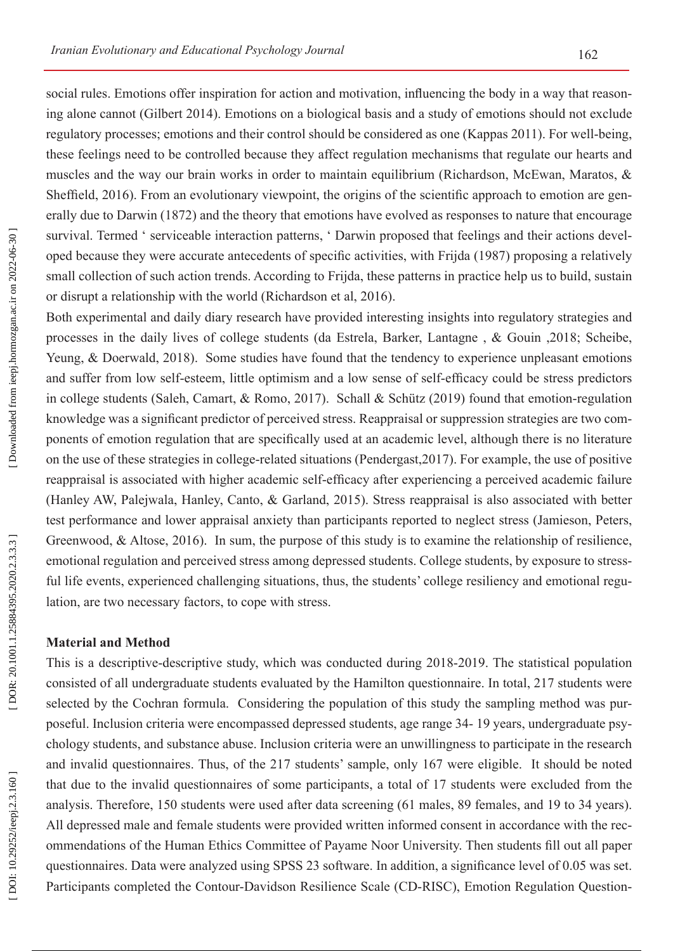social rules. Emotions offer inspiration for action and motivation, influencing the body in a way that reason ing alone cannot (Gilbert 2014). Emotions on a biological basis and a study of emotions should not exclude regulatory processes; emotions and their control should be considered as one (Kappas 2011). For well-being, these feelings need to be controlled because they affect regulation mechanisms that regulate our hearts and muscles and the way our brain works in order to maintain equilibrium (Richardson, McEwan, Maratos, & Sheffield, 2016). From an evolutionary viewpoint, the origins of the scientific approach to emotion are gen erally due to Darwin (1872) and the theory that emotions have evolved as responses to nature that encourage survival. Termed ' serviceable interaction patterns, ' Darwin proposed that feelings and their actions developed because they were accurate antecedents of specific activities, with Frijda (1987) proposing a relatively small collection of such action trends. According to Frijda, these patterns in practice help us to build, sustain or disrupt a relationship with the world (Richardson et al, 2016).

Both experimental and daily diary research have provided interesting insights into regulatory strategies and processes in the daily lives of college students ([da Estrela,](https://www.ncbi.nlm.nih.gov/pubmed/?term=da Estrela C%5BAuthor%5D&cauthor=true&cauthor_uid=29148160) [Barker,](https://www.ncbi.nlm.nih.gov/pubmed/?term=Barker ET%5BAuthor%5D&cauthor=true&cauthor_uid=29148160) [Lantagne](https://www.ncbi.nlm.nih.gov/pubmed/?term=Lantagne S%5BAuthor%5D&cauthor=true&cauthor_uid=29148160) , & Gouin ,2018; Scheibe, Yeung, & Doerwald, 2018). Some studies have found that the tendency to experience unpleasant emotions and suffer from low self-esteem, little optimism and a low sense of self-efficacy could be stress predictors in college students (Saleh, Camart, & Romo, 2017). Schall & Schütz (2019) found that emotion-regulation knowledge was a significant predictor of perceived stress. Reappraisal or suppression strategies are two com ponents of emotion regulation that are specifically used at an academic level, although there is no literature on the use of these strategies in college-related situations (Pendergast,2017). For example, the use of positive reappraisal is associated with higher academic self-efficacy after experiencing a perceived academic failure (Hanley AW, Palejwala, Hanley, Canto, & Garland, 2015). Stress reappraisal is also associated with better test performance and lower appraisal anxiety than participants reported to neglect stress (Jamieson, Peters, Greenwood, & Altose, 2016). In sum, the purpose of this study is to examine the relationship of resilience, emotional regulation and perceived stress among depressed students. College students, by exposure to stress ful life events, experienced challenging situations, thus, the students' college resiliency and emotional regulation, are two necessary factors, to cope with stress.

### **Material and Method**

This is a descriptive-descriptive study, which was conducted during 2018-2019. The statistical population consisted of all undergraduate students evaluated by the Hamilton questionnaire. In total, 217 students were selected by the Cochran formula. Considering the population of this study the sampling method was pur poseful. Inclusion criteria were encompassed depressed students, age range 34- 19 years, undergraduate psy chology students, and substance abuse. Inclusion criteria were an unwillingness to participate in the research and invalid questionnaires. Thus, of the 217 students' sample, only 167 were eligible. It should be noted that due to the invalid questionnaires of some participants, a total of 17 students were excluded from the analysis. Therefore, 150 students were used after data screening (61 males, 89 females, and 19 to 34 years). All depressed male and female students were provided written informed consent in accordance with the rec ommendations of the Human Ethics Committee of Payame Noor University. Then students fill out all paper questionnaires. Data were analyzed using SPSS 23 software. In addition, a significance level of 0.05 was set. Participants completed the Contour-Davidson Resilience Scale (CD-RISC), Emotion Regulation Question -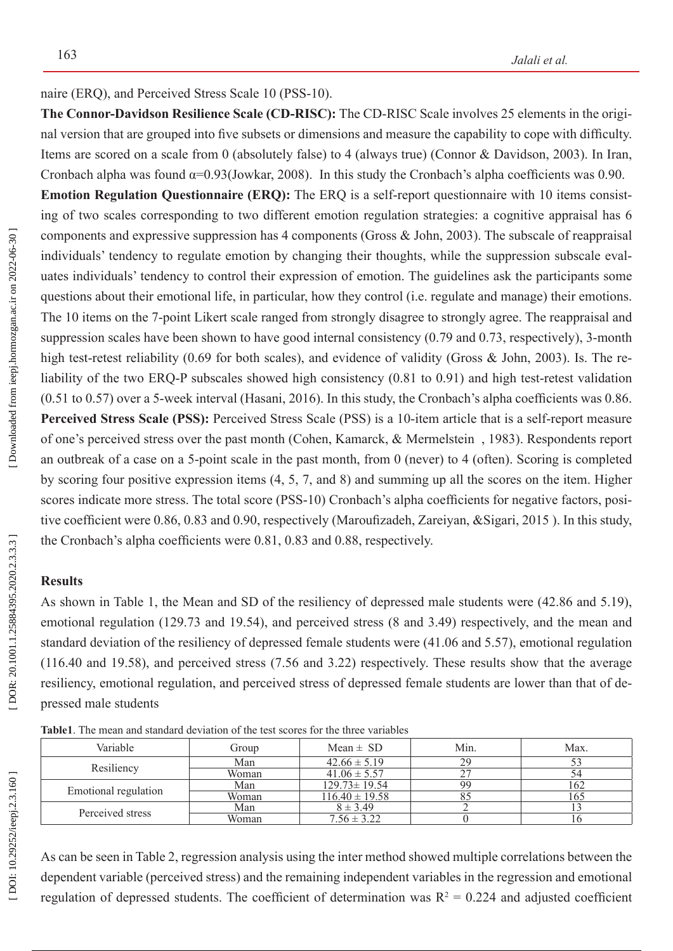naire (ERQ), and Perceived Stress Scale 10 (PSS-10).

**The Connor-Davidson Resilience Scale (CD-RISC):** The CD-RISC Scale involves 25 elements in the origi nal version that are grouped into five subsets or dimensions and measure the capability to cope with difficulty. Items are scored on a scale from 0 (absolutely false) to 4 (always true) (Connor & Davidson, 2003). In Iran, Cronbach alpha was found  $\alpha=0.93$ (Jowkar, 2008). In this study the Cronbach's alpha coefficients was 0.90.

**Emotion Regulation Questionnaire (ERQ):** The ERQ is a self-report questionnaire with 10 items consist ing of two scales corresponding to two different emotion regulation strategies: a cognitive appraisal has 6 components and expressive suppression has 4 components (Gross & John, 2003). The subscale of reappraisal individuals' tendency to regulate emotion by changing their thoughts, while the suppression subscale eval uates individuals' tendency to control their expression of emotion. The guidelines ask the participants some questions about their emotional life, in particular, how they control (i.e. regulate and manage) their emotions. The 10 items on the 7-point Likert scale ranged from strongly disagree to strongly agree. The reappraisal and suppression scales have been shown to have good internal consistency (0.79 and 0.73, respectively), 3-month high test-retest reliability (0.69 for both scales), and evidence of validity (Gross & John, 2003). Is. The reliability of the two ERQ-P subscales showed high consistency (0.81 to 0.91) and high test-retest validation (0.51 to 0.57) over a 5-week interval (Hasani, 2016). In this study, the Cronbach's alpha coefficients was 0.86. **Perceived Stress Scale (PSS):** Perceived Stress Scale (PSS) is a 10-item article that is a self-report measure of one's perceived stress over the past month (Cohen, Kamarck, & Mermelstein , 1983). Respondents report an outbreak of a case on a 5-point scale in the past month, from 0 (never) to 4 (often). Scoring is completed by scoring four positive expression items (4, 5, 7, and 8) and summing up all the scores on the item. Higher scores indicate more stress. The total score (PSS-10) Cronbach's alpha coefficients for negative factors, positive coefficient were 0.86, 0.83 and 0.90, respectively ([Maroufizadeh](https://www.ncbi.nlm.nih.gov/pubmed/?term=Maroufizadeh S%5BAuthor%5D&cauthor=true&cauthor_uid=24784866) , [Zareiyan](https://www.ncbi.nlm.nih.gov/pubmed/?term=Zareiyan A%5BAuthor%5D&cauthor=true&cauthor_uid=24784866) , &[Sigari, 2015 \)](https://www.ncbi.nlm.nih.gov/pubmed/?term=Sigari N%5BAuthor%5D&cauthor=true&cauthor_uid=24784866). In this study, the Cronbach's alpha coefficients were 0.81, 0.83 and 0.88, respectively.

### **Results**

As shown in Table 1, the Mean and SD of the resiliency of depressed male students were (42.86 and 5.19), emotional regulation (129.73 and 19.54), and perceived stress (8 and 3.49) respectively, and the mean and standard deviation of the resiliency of depressed female students were (41.06 and 5.57), emotional regulation (116.40 and 19.58), and perceived stress (7.56 and 3.22) respectively. These results show that the average resiliency, emotional regulation, and perceived stress of depressed female students are lower than that of depressed male students

| Variable             | Group | Mean $\pm$ SD      | Min. | Max. |
|----------------------|-------|--------------------|------|------|
| Resiliency           | Man   | $42.66 \pm 5.19$   | 29   |      |
|                      | Woman | $41.06 \pm 5.57$   |      | 54   |
| Emotional regulation | Man   | $129.73 \pm 19.54$ | 99   | 162  |
|                      | Woman | $116.40 \pm 19.58$ |      | 165  |
| Perceived stress     | Man   | $8 \pm 3.49$       |      |      |
|                      | Woman | $7.56 \pm 3.22$    |      | ιO   |

**Table1**. The mean and standard deviation of the test scores for the three variables

As can be seen in Table 2, regression analysis using the inter method showed multiple correlations between the dependent variable (perceived stress) and the remaining independent variables in the regression and emotional regulation of depressed students. The coefficient of determination was  $R^2 = 0.224$  and adjusted coefficient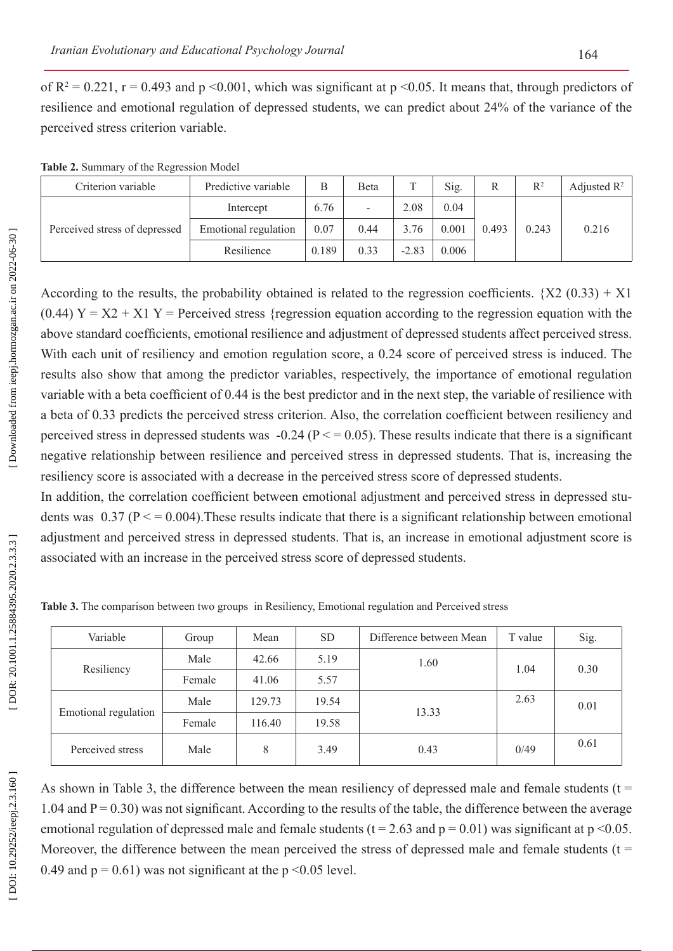of  $R^2 = 0.221$ ,  $r = 0.493$  and  $p \le 0.001$ , which was significant at  $p \le 0.05$ . It means that, through predictors of resilience and emotional regulation of depressed students, we can predict about 24% of the variance of the perceived stress criterion variable.

|  | Table 2. Summary of the Regression Model |  |
|--|------------------------------------------|--|
|--|------------------------------------------|--|

| Criterion variable            | Predictive variable  | Β     | Beta | m       | Sig.  | R     | R <sup>2</sup> | Adjusted $\mathbb{R}^2$ |
|-------------------------------|----------------------|-------|------|---------|-------|-------|----------------|-------------------------|
| Perceived stress of depressed | Intercept            | 6.76  | -    | 2.08    | 0.04  |       | 0.243          | 0.216                   |
|                               | Emotional regulation | 0.07  | 0.44 | 3.76    | 0.001 | 0.493 |                |                         |
|                               | Resilience           | 0.189 | 0.33 | $-2.83$ | 0.006 |       |                |                         |

According to the results, the probability obtained is related to the regression coefficients.  ${X2 (0.33) + X1}$  $(0.44)$  Y = X2 + X1 Y = Perceived stress {regression equation according to the regression equation with the above standard coefficients, emotional resilience and adjustment of depressed students affect perceived stress. With each unit of resiliency and emotion regulation score, a 0.24 score of perceived stress is induced. The results also show that among the predictor variables, respectively, the importance of emotional regulation variable with a beta coefficient of 0.44 is the best predictor and in the next step, the variable of resilience with a beta of 0.33 predicts the perceived stress criterion. Also, the correlation coefficient between resiliency and perceived stress in depressed students was  $-0.24$  ( $P \le 0.05$ ). These results indicate that there is a significant negative relationship between resilience and perceived stress in depressed students. That is, increasing the resiliency score is associated with a decrease in the perceived stress score of depressed students.

In addition, the correlation coefficient between emotional adjustment and perceived stress in depressed students was  $0.37$  ( $P \le 0.004$ ). These results indicate that there is a significant relationship between emotional adjustment and perceived stress in depressed students. That is, an increase in emotional adjustment score is associated with an increase in the perceived stress score of depressed students.

| Variable             | Group  | Mean   | <b>SD</b> | Difference between Mean | T value | Sig. |
|----------------------|--------|--------|-----------|-------------------------|---------|------|
| Resiliency           | Male   | 42.66  | 5.19      | 1.60                    | 1.04    | 0.30 |
|                      | Female | 41.06  | 5.57      |                         |         |      |
| Emotional regulation | Male   | 129.73 | 19.54     |                         | 2.63    | 0.01 |
|                      | Female | 116.40 | 19.58     | 13.33                   |         |      |
| Perceived stress     | Male   | 8      | 3.49      | 0.43                    | 0/49    | 0.61 |

**Table 3.** The comparison between two groups in Resiliency, Emotional regulation and Perceived stress

As shown in Table 3, the difference between the mean resiliency of depressed male and female students ( $t =$ 1.04 and  $P = 0.30$ ) was not significant. According to the results of the table, the difference between the average emotional regulation of depressed male and female students ( $t = 2.63$  and  $p = 0.01$ ) was significant at  $p \le 0.05$ . Moreover, the difference between the mean perceived the stress of depressed male and female students ( $t =$ 0.49 and  $p = 0.61$ ) was not significant at the  $p \le 0.05$  level.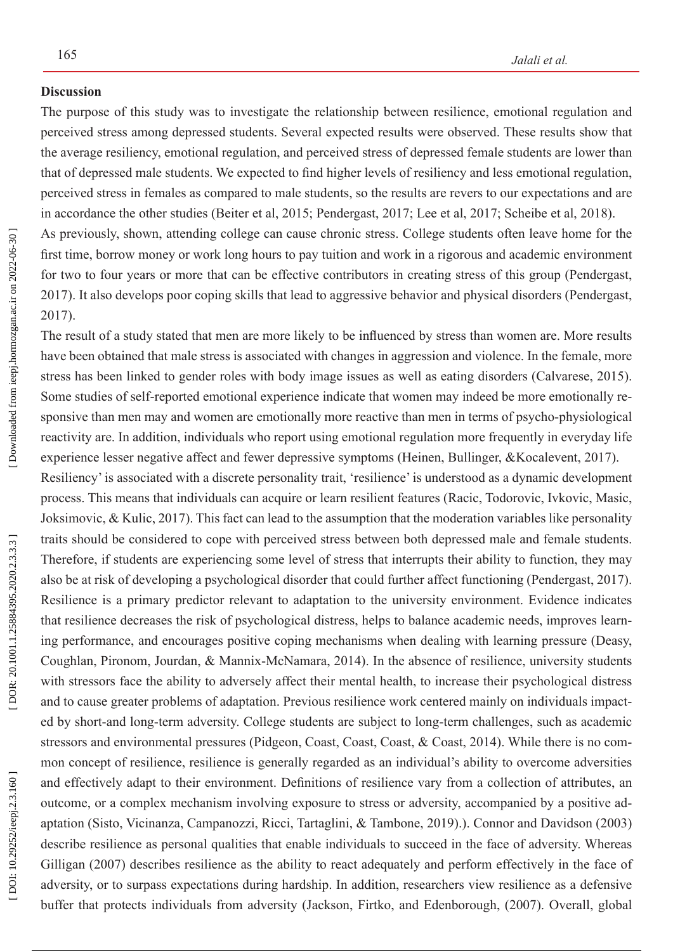#### **Discussion**

The purpose of this study was to investigate the relationship between resilience, emotional regulation and perceived stress among depressed students. Several expected results were observed. These results show that the average resiliency, emotional regulation, and perceived stress of depressed female students are lower than that of depressed male students. We expected to find higher levels of resiliency and less emotional regulation, perceived stress in females as compared to male students, so the results are revers to our expectations and are in accordance the other studies (Beiter et al, 2015; Pendergast, 2017; Lee et al, 2017; Scheibe et al, 2018). As previously, shown, attending college can cause chronic stress. College students often leave home for the first time, borrow money or work long hours to pay tuition and work in a rigorous and academic environment for two to four years or more that can be effective contributors in creating stress of this group (Pendergast, 2017). It also develops poor coping skills that lead to aggressive behavior and physical disorders (Pendergast, 2017).

The result of a study stated that men are more likely to be influenced by stress than women are. More results have been obtained that male stress is associated with changes in aggression and violence. In the female, more stress has been linked to gender roles with body image issues as well as eating disorders (Calvarese, 2015). Some studies of self-reported emotional experience indicate that women may indeed be more emotionally re sponsive than men may and women are emotionally more reactive than men in terms of psycho-physiological reactivity are. In addition, individuals who report using emotional regulation more frequently in everyday life experience lesser negative affect and fewer depressive symptoms (Heinen, Bullinger, &Kocalevent, 2017).

Resiliency' is associated with a discrete personality trait, 'resilience' is understood as a dynamic development process. This means that individuals can acquire or learn resilient features (Racic, Todorovic, Ivkovic, Masic, Joksimovic, & Kulic, 2017). This fact can lead to the assumption that the moderation variables like personality traits should be considered to cope with perceived stress between both depressed male and female students. Therefore, if students are experiencing some level of stress that interrupts their ability to function, they may also be at risk of developing a psychological disorder that could further affect functioning (Pendergast, 2017). Resilience is a primary predictor relevant to adaptation to the university environment. Evidence indicates that resilience decreases the risk of psychological distress, helps to balance academic needs, improves learn ing performance, and encourages positive coping mechanisms when dealing with learning pressure (Deasy, Coughlan, Pironom, Jourdan, & Mannix-McNamara, 2014). In the absence of resilience, university students with stressors face the ability to adversely affect their mental health, to increase their psychological distress and to cause greater problems of adaptation. Previous resilience work centered mainly on individuals impact ed by short-and long-term adversity. College students are subject to long-term challenges, such as academic stressors and environmental pressures (Pidgeon, Coast, Coast, Coast, & Coast, 2014). While there is no common concept of resilience, resilience is generally regarded as an individual's ability to overcome adversities and effectively adapt to their environment. Definitions of resilience vary from a collection of attributes, an outcome, or a complex mechanism involving exposure to stress or adversity, accompanied by a positive ad aptation (Sisto, Vicinanza, Campanozzi, Ricci, Tartaglini, & Tambone, 2019).). Connor and Davidson (2003) describe resilience as personal qualities that enable individuals to succeed in the face of adversity. Whereas Gilligan (2007) describes resilience as the ability to react adequately and perform effectively in the face of adversity, or to surpass expectations during hardship. In addition, researchers view resilience as a defensive buffer that protects individuals from adversity (Jackson, Firtko, and Edenborough, (2007). Overall, global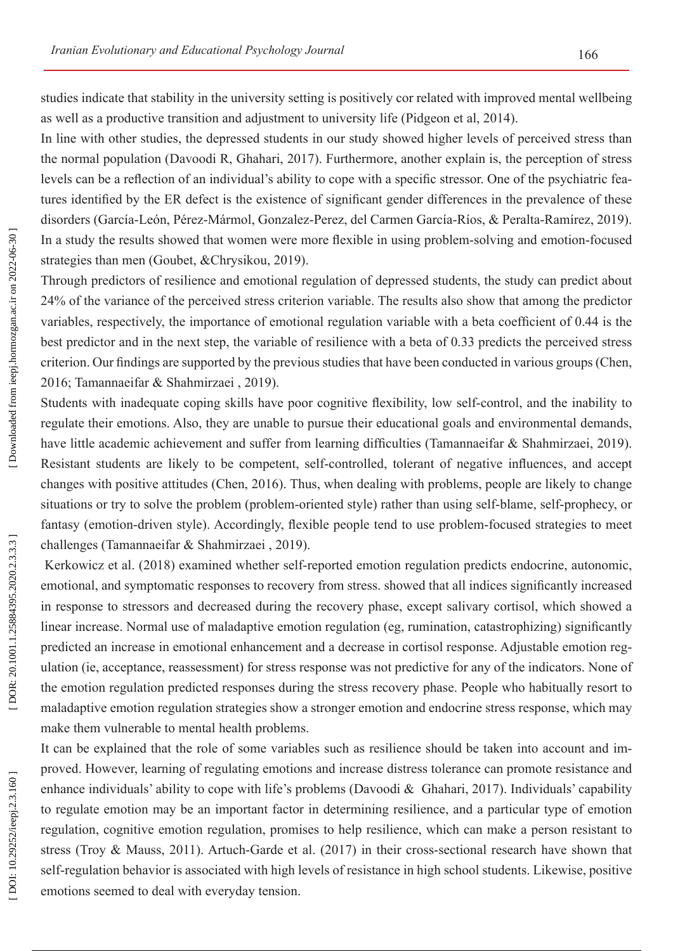studies indicate that stability in the university setting is positively cor related with improved mental wellbeing as well as a productive transition and adjustment to university life (Pidgeon et al, 2014).

In line with other studies, the depressed students in our study showed higher levels of perceived stress than the normal population (Davoodi R, Ghahari, 2017). Furthermore, another explain is, the perception of stress levels can be a reflection of an individual's ability to cope with a specific stressor. One of the psychiatric fea tures identified by the ER defect is the existence of significant gender differences in the prevalence of these disorders (García-León, Pérez-Mármol, Gonzalez-Perez, del Carmen García-Ríos, & Peralta-Ramírez, 2019). In a study the results showed that women were more flexible in using problem-solving and emotion-focused strategies than men ([Goubet,](https://www.ncbi.nlm.nih.gov/pubmed/?term=Goubet KE%5BAuthor%5D&cauthor=true&cauthor_uid=31143142) &Chrysikou, 2019).

Through predictors of resilience and emotional regulation of depressed students, the study can predict about 24% of the variance of the perceived stress criterion variable. The results also show that among the predictor variables, respectively, the importance of emotional regulation variable with a beta coefficient of 0.44 is the best predictor and in the next step, the variable of resilience with a beta of 0.33 predicts the perceived stress criterion. Our findings are supported by the previous studies that have been conducted in various groups(Chen, 2016; Tamannaeifar & Shahmirzaei , 2019).

Students with inadequate coping skills have poor cognitive flexibility, low self-control, and the inability to regulate their emotions. Also, they are unable to pursue their educational goals and environmental demands, have little academic achievement and suffer from learning difficulties (Tamannaeifar & Shahmirzaei, 2019). Resistant students are likely to be competent, self-controlled, tolerant of negative influences, and accept changes with positive attitudes (Chen, 2016). Thus, when dealing with problems, people are likely to change situations or try to solve the problem (problem-oriented style) rather than using self-blame, self-prophecy, or fantasy (emotion-driven style). Accordingly, flexible people tend to use problem-focused strategies to meet challenges (Tamannaeifar & Shahmirzaei , 2019).

 Kerkowicz et al. (2018) examined whether self-reported emotion regulation predicts endocrine, autonomic, emotional, and symptomatic responses to recovery from stress. showed that all indices significantly increased in response to stressors and decreased during the recovery phase, except salivary cortisol, which showed a linear increase. Normal use of maladaptive emotion regulation (eg, rumination, catastrophizing) significantly predicted an increase in emotional enhancement and a decrease in cortisol response. Adjustable emotion reg ulation (ie, acceptance, reassessment) for stress response was not predictive for any of the indicators. None of the emotion regulation predicted responses during the stress recovery phase. People who habitually resort to maladaptive emotion regulation strategies show a stronger emotion and endocrine stress response, which may make them vulnerable to mental health problems.

It can be explained that the role of some variables such as resilience should be taken into account and improved. However, learning of regulating emotions and increase distress tolerance can promote resistance and enhance individuals' ability to cope with life's problems (Davoodi & Ghahari, 2017). Individuals' capability to regulate emotion may be an important factor in determining resilience, and a particular type of emotion regulation, cognitive emotion regulation, promises to help resilience, which can make a person resistant to stress (Troy & Mauss, 2011). Artuch-Garde et al. (2017) in their cross-sectional research have shown that self-regulation behavior is associated with high levels of resistance in high school students. Likewise, positive emotions seemed to deal with everyday tension.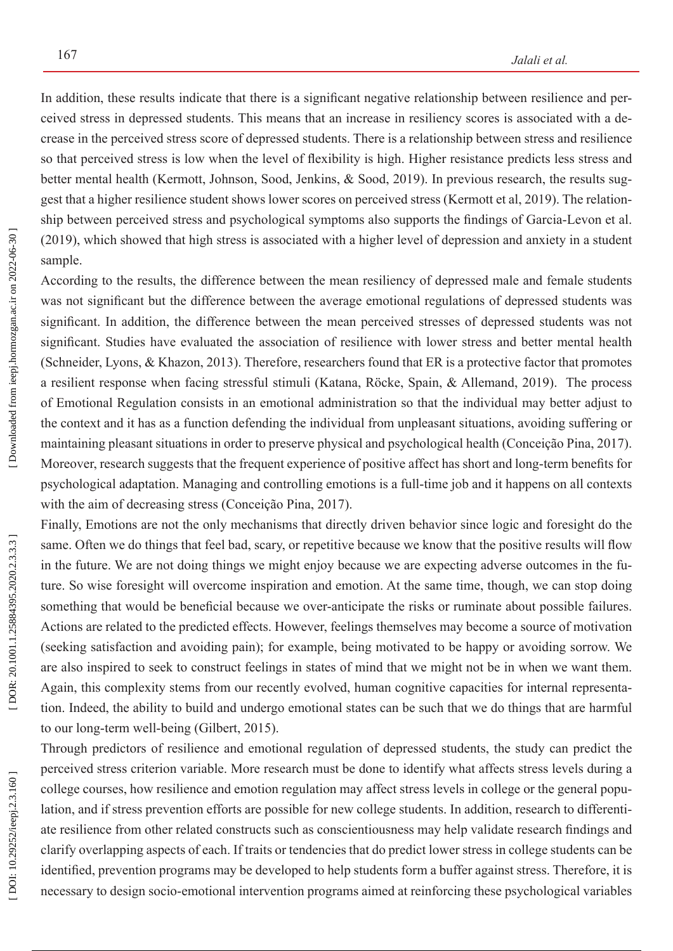In addition, these results indicate that there is a significant negative relationship between resilience and per ceived stress in depressed students. This means that an increase in resiliency scores is associated with a de crease in the perceived stress score of depressed students. There is a relationship between stress and resilience so that perceived stress is low when the level of flexibility is high. Higher resistance predicts less stress and better mental health (Kermott, Johnson, Sood, Jenkins, & Sood, 2019). In previous research, the results sug gest that a higher resilience student shows lower scores on perceived stress (Kermott et al, 2019). The relation ship between perceived stress and psychological symptoms also supports the findings of Garcia-Levon et al. (2019), which showed that high stress is associated with a higher level of depression and anxiety in a student sample.

According to the results, the difference between the mean resiliency of depressed male and female students was not significant but the difference between the average emotional regulations of depressed students was significant. In addition, the difference between the mean perceived stresses of depressed students was not significant. Studies have evaluated the association of resilience with lower stress and better mental health (Schneider, Lyons, & Khazon, 2013). Therefore, researchers found that ER is a protective factor that promotes a resilient response when facing stressful stimuli (Katana, Röcke, Spain, & Allemand, 2019). The process of Emotional Regulation consists in an emotional administration so that the individual may better adjust to the context and it has as a function defending the individual from unpleasant situations, avoiding suffering or maintaining pleasant situations in order to preserve physical and psychological health (Conceição Pina, 2017). Moreover, research suggests that the frequent experience of positive affect has short and long-term benefits for psychological adaptation. Managing and controlling emotions is a full-time job and it happens on all contexts with the aim of decreasing stress (Conceição Pina, 2017).

Finally, Emotions are not the only mechanisms that directly driven behavior since logic and foresight do the same. Often we do things that feel bad, scary, or repetitive because we know that the positive results will flow in the future. We are not doing things we might enjoy because we are expecting adverse outcomes in the fu ture. So wise foresight will overcome inspiration and emotion. At the same time, though, we can stop doing something that would be beneficial because we over-anticipate the risks or ruminate about possible failures. Actions are related to the predicted effects. However, feelings themselves may become a source of motivation (seeking satisfaction and avoiding pain); for example, being motivated to be happy or avoiding sorrow. We are also inspired to seek to construct feelings in states of mind that we might not be in when we want them. Again, this complexity stems from our recently evolved, human cognitive capacities for internal representa tion. Indeed, the ability to build and undergo emotional states can be such that we do things that are harmful to our long-term well-being (Gilbert, 2015).

Through predictors of resilience and emotional regulation of depressed students, the study can predict the perceived stress criterion variable. More research must be done to identify what affects stress levels during a college courses, how resilience and emotion regulation may affect stress levels in college or the general popu lation, and if stress prevention efforts are possible for new college students. In addition, research to differenti ate resilience from other related constructs such as conscientiousness may help validate research findings and clarify overlapping aspects of each. If traits or tendencies that do predict lower stress in college students can be identified, prevention programs may be developed to help students form a buffer against stress. Therefore, it is necessary to design socio-emotional intervention programs aimed at reinforcing these psychological variables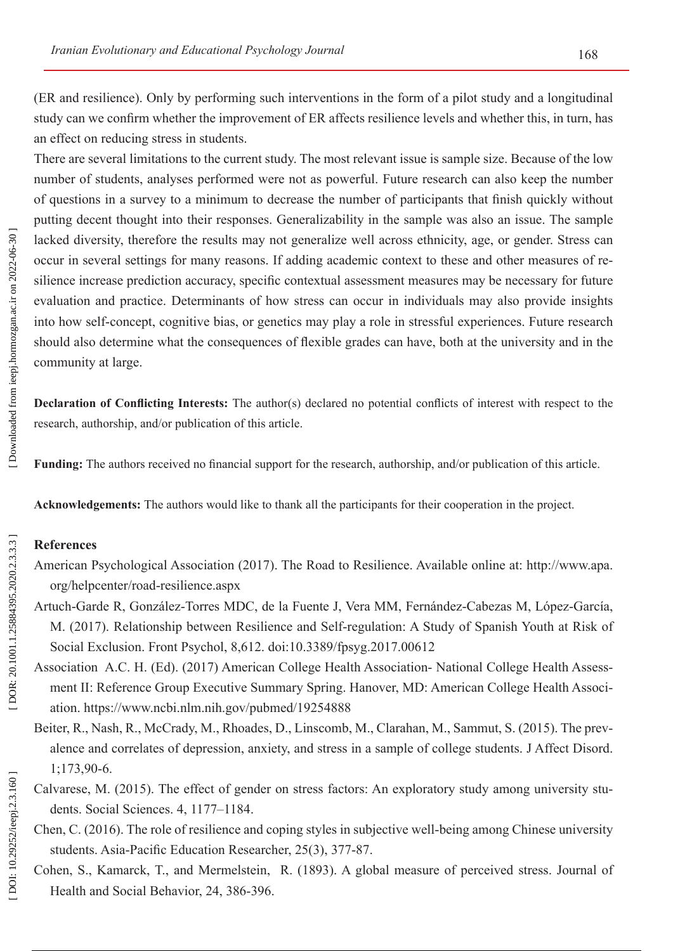(ER and resilience). Only by performing such interventions in the form of a pilot study and a longitudinal study can we confirm whether the improvement of ER affects resilience levels and whether this, in turn, has an effect on reducing stress in students.

There are several limitations to the current study. The most relevant issue is sample size. Because of the low number of students, analyses performed were not as powerful. Future research can also keep the number of questions in a survey to a minimum to decrease the number of participants that finish quickly without putting decent thought into their responses. Generalizability in the sample was also an issue. The sample lacked diversity, therefore the results may not generalize well across ethnicity, age, or gender. Stress can occur in several settings for many reasons. If adding academic context to these and other measures of re silience increase prediction accuracy, specific contextual assessment measures may be necessary for future evaluation and practice. Determinants of how stress can occur in individuals may also provide insights into how self-concept, cognitive bias, or genetics may play a role in stressful experiences. Future research should also determine what the consequences of flexible grades can have, both at the university and in the community at large.

**Declaration of Conflicting Interests:** The author(s) declared no potential conflicts of interest with respect to the research, authorship, and/or publication of this article.

**Funding:** The authors received no financial support for the research, authorship, and/or publication of this article.

**Acknowledgements:** The authors would like to thank all the participants for their cooperation in the project.

## **References**

- American Psychological Association (2017). The Road to Resilience. Available online at: [http://www.apa.](http://www.apa.org/helpcenter/road-resilience.aspx) [org/helpcenter/road-resilience.aspx](http://www.apa.org/helpcenter/road-resilience.aspx)
- Artuch-Garde R, González-Torres MDC, de la Fuente J, Vera MM, Fernández-Cabezas M, López-García, M. (2017). Relationship between Resilience and Self-regulation: A Study of Spanish Youth at Risk of Social Exclusion. Front Psychol, 8,612. doi:10.3389/fpsyg.2017.00612
- Association A.C. H. (Ed). (2017) American College Health Association- National College Health Assess ment II: Reference Group Executive Summary Spring. Hanover, MD: American College Health Associ ation.<https://www.ncbi.nlm.nih.gov/pubmed/19254888>
- [Beiter, R](https://www.ncbi.nlm.nih.gov/pubmed/?term=Beiter R%5BAuthor%5D&cauthor=true&cauthor_uid=25462401)., [Nash, R](https://www.ncbi.nlm.nih.gov/pubmed/?term=Nash R%5BAuthor%5D&cauthor=true&cauthor_uid=25462401)., [McCrady, M](https://www.ncbi.nlm.nih.gov/pubmed/?term=McCrady M%5BAuthor%5D&cauthor=true&cauthor_uid=25462401)., [Rhoades, D](https://www.ncbi.nlm.nih.gov/pubmed/?term=Rhoades D%5BAuthor%5D&cauthor=true&cauthor_uid=25462401)., [Linscomb, M.](https://www.ncbi.nlm.nih.gov/pubmed/?term=Linscomb M%5BAuthor%5D&cauthor=true&cauthor_uid=25462401), [Clarahan, M](https://www.ncbi.nlm.nih.gov/pubmed/?term=Clarahan M%5BAuthor%5D&cauthor=true&cauthor_uid=25462401)., Sammut, S. (2015). The prev alence and correlates of depression, anxiety, and stress in a sample of college students. [J Affect Disord.](https://www.ncbi.nlm.nih.gov/pubmed/?term=Clarahan M%5BAuthor%5D&cauthor=true&cauthor_uid=25462401) 1;173,90-6.
- Calvarese, M. (2015). The effect of gender on stress factors: An exploratory study among university stu dents. Social Sciences. 4, 1177–1184.
- Chen, C. (2016). The role of resilience and coping styles in subjective well-being among Chinese university students. Asia-Pacific Education Researcher, 25(3), 377-87.
- Cohen, S., Kamarck, T., and Mermelstein, R. (1893). A global measure of perceived stress. Journal of Health and Social Behavior, 24, 386-396.

DOI: 10.29252/ieepj.2.3.160]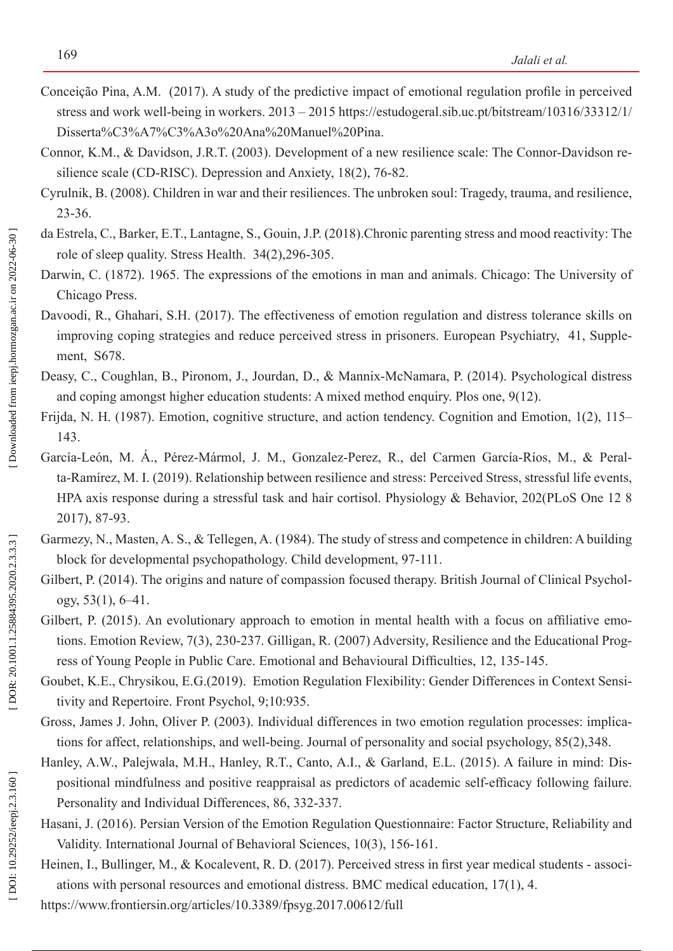- Conceição Pina, A.M. (2017). A study of the predictive impact of emotional regulation profile in perceived stress and work well-being in workers. 2013 – 2015 [https://estudogeral.sib.uc.pt/bitstream/10316/33312/1/](https://estudogeral.sib.uc.pt/bitstream/10316/33312/1/Disserta%C3%A7%C3%A3o Ana Manuel Pina.pdf) [Disserta%C3%A7%C3%A3o%20Ana%20Manuel%20Pina.](https://estudogeral.sib.uc.pt/bitstream/10316/33312/1/Disserta%C3%A7%C3%A3o Ana Manuel Pina.pdf)
- Connor, K.M., & Davidson, J.R.T. (2003). Development of a new resilience scale: The Connor-Davidson resilience scale (CD-RISC). Depression and Anxiety, 18(2), 76-82.
- Cyrulnik, B. (2008). Children in war and their resiliences. The unbroken soul: Tragedy, trauma, and resilience, 23-36.
- [da Estrela, C.](https://www.ncbi.nlm.nih.gov/pubmed/?term=da Estrela C%5BAuthor%5D&cauthor=true&cauthor_uid=29148160), [Barker, E.T](https://www.ncbi.nlm.nih.gov/pubmed/?term=Barker ET%5BAuthor%5D&cauthor=true&cauthor_uid=29148160)., [Lantagne, S](https://www.ncbi.nlm.nih.gov/pubmed/?term=Lantagne S%5BAuthor%5D&cauthor=true&cauthor_uid=29148160)., Gouin, J.P. (2018).Chronic parenting stress and mood reactivity: The role of sleep quality. [Stress Health.](https://www.ncbi.nlm.nih.gov/pubmed?Db=pubmed&Cmd=ShowDetailView&TermToSearch=29148160) 34(2),296-305.
- Darwin, C. (1872). 1965. The expressions of the emotions in man and animals. Chicago: The University of Chicago Press.
- Davoodi, R., Ghahari, S.H. (2017). The effectiveness of emotion regulation and distress tolerance skills on improving coping strategies and reduce perceived stress in prisoners. [European Psychiatry](https://www.sciencedirect.com/science/journal/09249338), [41, Supple](https://www.sciencedirect.com/science/journal/09249338/41/supp/S) [ment](https://www.sciencedirect.com/science/journal/09249338/41/supp/S) , S678.
- Deasy, C., Coughlan, B., Pironom, J., Jourdan, D., & Mannix-McNamara, P. (2014). Psychological distress and coping amongst higher education students: A mixed method enquiry. Plos one, 9(12).
- Frijda, N. H. (1987). Emotion, cognitive structure, and action tendency. Cognition and Emotion, 1(2), 115– 143.
- García-León, M. Á., Pérez-Mármol, J. M., Gonzalez-Perez, R., del Carmen García-Ríos, M., & Peral ta-Ramírez, M. I. (2019). Relationship between resilience and stress: Perceived Stress, stressful life events, HPA axis response during a stressful task and hair cortisol. [Physiology & Behavior](https://app.dimensions.ai/discover/publication?and_facet_journal=jour.1290010&and_facet_source_title=jour.1009651&and_facet_journal=jour.1290010) , 202(PLoS One 12 8 2017), 87-93.
- Garmezy, N., Masten, A. S., & Tellegen, A. (1984). The study of stress and competence in children: A building block for developmental psychopathology. Child development, 97-111.
- Gilbert, P. (2014). The origins and nature of compassion focused therapy. British Journal of Clinical Psychology, 53(1), 6–41.
- Gilbert, P. (2015). An evolutionary approach to emotion in mental health with a focus on affiliative emotions. Emotion Review, 7(3), 230-237. Gilligan, R. (2007) Adversity, Resilience and the Educational Prog ress of Young People in Public Care. Emotional and Behavioural Difficulties, 12, 135-145.
- [Goubet, K.E](https://www.ncbi.nlm.nih.gov/pubmed/?term=Goubet KE%5BAuthor%5D&cauthor=true&cauthor_uid=31143142)., Chrysikou, E.G.(2019). Emotion Regulation Flexibility: Gender Differences in Context Sensi tivity and Repertoire. [Front Psychol,](https://www.ncbi.nlm.nih.gov/pubmed/31143142) 9;10:935.
- [Gross, James J.](https://psycnet.apa.org/search/results?term=Gross, James J.&latSearchType=a) John, Oliver P. (2003). Individual differences in two emotion regulation processes: implica tions for affect, relationships, and well-being. Journal of personality and social psychology, 85(2),348.
- Hanley, A.W., Palejwala, M.H., Hanley, R.T., Canto, A.I., & Garland, E.L. (2015). A failure in mind: Dis positional mindfulness and positive reappraisal as predictors of academic self-efficacy following failure. Personality and Individual Differences, 86, 332-337.
- Hasani, J. (2016). Persian Version of the Emotion Regulation Questionnaire: Factor Structure, Reliability and Validity. International Journal of Behavioral Sciences, 10(3), 156-161.
- Heinen, I., Bullinger, M., & Kocalevent, R. D. (2017). Perceived stress in first year medical students associations with personal resources and emotional distress. BMC medical education, 17(1), 4.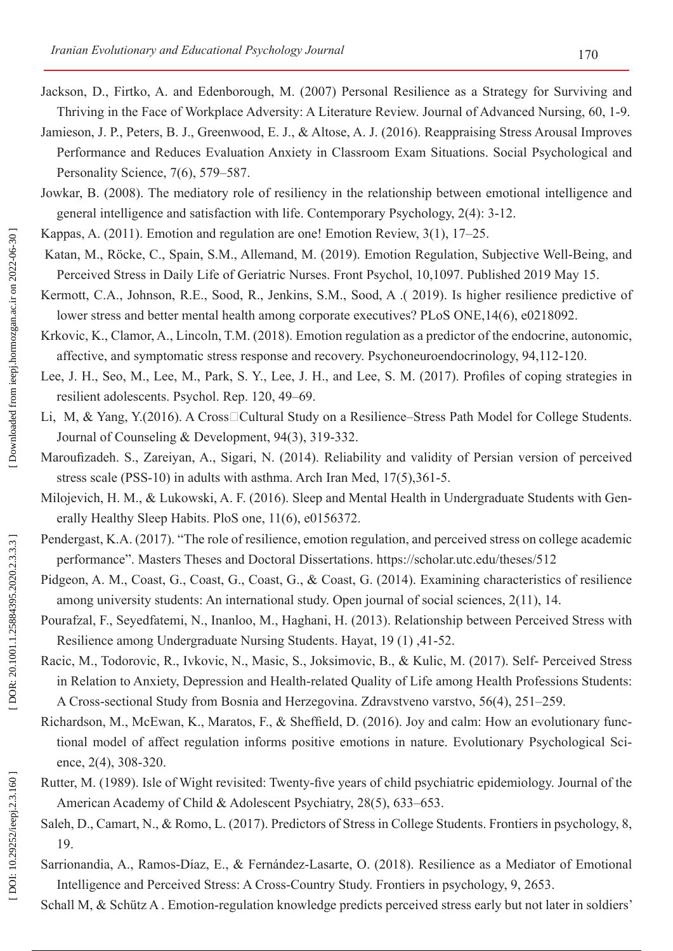- Jackson, D., Firtko, A. and Edenborough, M. (2007) Personal Resilience as a Strategy for Surviving and Thriving in the Face of Workplace Adversity: A Literature Review. Journal of Advanced Nursing, 60, 1-9.
- Jamieson, J. P., Peters, B. J., Greenwood, E. J., & Altose, A. J. (2016). Reappraising Stress Arousal Improves Performance and Reduces Evaluation Anxiety in Classroom Exam Situations. Social Psychological and Personality Science, 7(6), 579–587.
- Jowkar, B. (2008). The mediatory role of resiliency in the relationship between emotional intelligence and general intelligence and satisfaction with life. Contemporary Psychology, 2(4): 3-12.
- Kappas, A. (2011). Emotion and regulation are one! Emotion Review, 3(1), 17–25.
- Katan, M., Röcke, C., Spain, S.M., Allemand, M. (2019). Emotion Regulation, Subjective Well-Being, and Perceived Stress in Daily Life of Geriatric Nurses. Front Psychol, 10,1097. Published 2019 May 15.
- Kermott, C.A., Johnson, R.E., Sood, R., Jenkins, S.M., Sood, A .( 2019). Is higher resilience predictive of lower stress and better mental health among corporate executives? PLoS ONE,14(6), e0218092.
- [Krkovic, K.](https://www.ncbi.nlm.nih.gov/pubmed/?term=Krkovic K%5BAuthor%5D&cauthor=true&cauthor_uid=29775874), [Clamor, A](https://www.ncbi.nlm.nih.gov/pubmed/?term=Clamor A%5BAuthor%5D&cauthor=true&cauthor_uid=29775874)., [Lincoln, T.M](https://www.ncbi.nlm.nih.gov/pubmed/?term=Lincoln TM%5BAuthor%5D&cauthor=true&cauthor_uid=29775874). (2018). Emotion regulation as a predictor of the endocrine, autonomic, affective, and symptomatic stress response and recovery. Psychoneuroendocrinology, 94,112-120.
- Lee, J. H., Seo, M., Lee, M., Park, S. Y., Lee, J. H., and Lee, S. M. (2017). Profiles of coping strategies in resilient adolescents. Psychol. Rep. 120, 49–69.
- Li, M, & Yang, Y.(2016). A Cross□Cultural Study on a Resilience–Stress Path Model for College Students. Journal of Counseling & Development, 94(3), 319-332.
- [Maroufizadeh. S](https://www.ncbi.nlm.nih.gov/pubmed/?term=Maroufizadeh S%5BAuthor%5D&cauthor=true&cauthor_uid=24784866)., [Zareiyan, A](https://www.ncbi.nlm.nih.gov/pubmed/?term=Zareiyan A%5BAuthor%5D&cauthor=true&cauthor_uid=24784866)., [Sigari, N](https://www.ncbi.nlm.nih.gov/pubmed/?term=Sigari N%5BAuthor%5D&cauthor=true&cauthor_uid=24784866). (2014). Reliability and validity of Persian version of perceived stress scale (PSS-10) in adults with asthma. [Arch Iran Med,](https://www.ncbi.nlm.nih.gov/pubmed/24784866/) 17(5),361-5.
- Milojevich, H. M., & Lukowski, A. F. (2016). Sleep and Mental Health in Undergraduate Students with Gen erally Healthy Sleep Habits. PloS one, 11(6), e0156372.
- Pendergast, K.A. (2017). "The role of resilience, emotion regulation, and perceived stress on college academic performance". Masters Theses and Doctoral Dissertations. https://scholar.utc.edu/theses/512
- Pidgeon, A. M., Coast, G., Coast, G., Coast, G., & Coast, G. (2014). Examining characteristics of resilience among university students: An international study. Open journal of social sciences, 2(11), 14.
- Pourafzal, F., Seyedfatemi, N., Inanloo, M., Haghani, H. (2013). Relationship between Perceived Stress with Resilience among Undergraduate Nursing Students. Hayat, 19 (1) ,41-52.
- Racic, M., Todorovic, R., Ivkovic, N., Masic, S., Joksimovic, B., & Kulic, M. (2017). Self- Perceived Stress in Relation to Anxiety, Depression and Health-related Quality of Life among Health Professions Students: A Cross-sectional Study from Bosnia and Herzegovina. Zdravstveno varstvo, 56(4), 251–259.
- Richardson, M., McEwan, K., Maratos, F., & Sheffield, D. (2016). Joy and calm: How an evolutionary functional model of affect regulation informs positive emotions in nature. Evolutionary Psychological Sci ence, 2(4), 308-320.
- Rutter, M. (1989). Isle of Wight revisited: Twenty-five years of child psychiatric epidemiology. Journal of the American Academy of Child & Adolescent Psychiatry, 28(5), 633–653.
- Saleh, D., Camart, N., & Romo, L. (2017). Predictors of Stress in College Students. Frontiers in psychology, 8, 19.
- Sarrionandia, A., Ramos-Díaz, E., & Fernández-Lasarte, O. (2018). Resilience as a Mediator of Emotional Intelligence and Perceived Stress: A Cross-Country Study. Frontiers in psychology, 9, 2653.
- Schall M, & Schütz A . Emotion-regulation knowledge predicts perceived stress early but not later in soldiers'